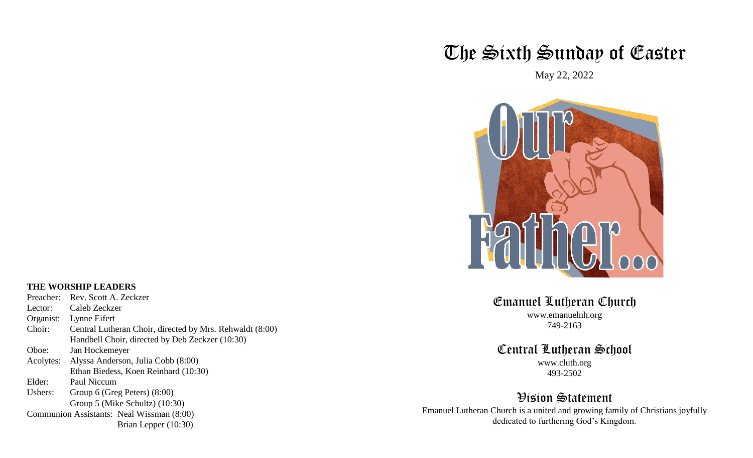#### **THE WORSHIP LEADERS**

Preacher: Rev. Scott A. Zeckzer Lector: Caleb Zeckzer Organist: Lynne Eifert Choir: Central Lutheran Choir, directed by Mrs. Rehwaldt (8:00) Handbell Choir, directed by Deb Zeckzer (10:30) Oboe: Jan Hockemeyer Acolytes: Alyssa Anderson, Julia Cobb (8:00) Ethan Biedess, Koen Reinhard (10:30) Elder: Paul Niccum Ushers: Group 6 (Greg Peters) (8:00) Group 5 (Mike Schultz) (10:30) Communion Assistants: Neal Wissman (8:00) Brian Lepper (10:30)

# The Sixth Sunday of Easter

May 22, 2022



Emanuel Lutheran Church

www.emanuelnh.org 749-2163

Central Lutheran School www.cluth.org 493-2502

Vision Statement

Emanuel Lutheran Church is a united and growing family of Christians joyfully dedicated to furthering God's Kingdom.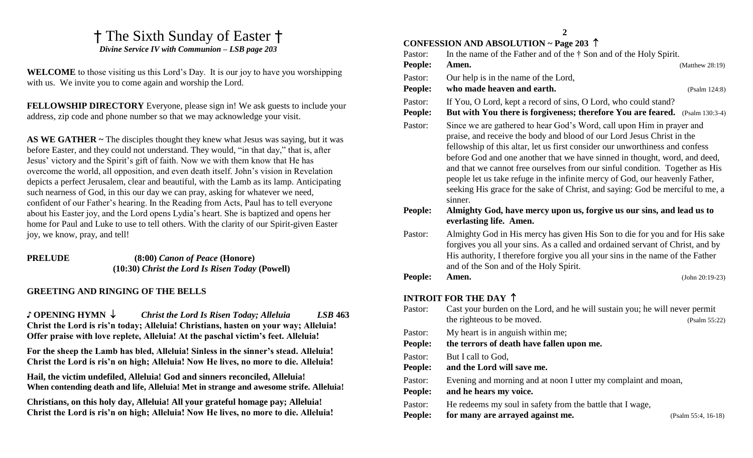## † The Sixth Sunday of Easter †

*Divine Service IV with Communion – LSB page 203*

**WELCOME** to those visiting us this Lord's Day. It is our joy to have you worshipping with us. We invite you to come again and worship the Lord.

**FELLOWSHIP DIRECTORY** Everyone, please sign in! We ask guests to include your address, zip code and phone number so that we may acknowledge your visit.

**AS WE GATHER ~** The disciples thought they knew what Jesus was saying, but it was before Easter, and they could not understand. They would, "in that day," that is, after Jesus' victory and the Spirit's gift of faith. Now we with them know that He has overcome the world, all opposition, and even death itself. John's vision in Revelation depicts a perfect Jerusalem, clear and beautiful, with the Lamb as its lamp. Anticipating such nearness of God, in this our day we can pray, asking for whatever we need, confident of our Father's hearing. In the Reading from Acts, Paul has to tell everyone about his Easter joy, and the Lord opens Lydia's heart. She is baptized and opens her home for Paul and Luke to use to tell others. With the clarity of our Spirit-given Easter joy, we know, pray, and tell!

**PRELUDE (8:00)** *Canon of Peace* **(Honore) (10:30)** *Christ the Lord Is Risen Today* **(Powell)**

#### **GREETING AND RINGING OF THE BELLS**

**♪ OPENING HYMN** *Christ the Lord Is Risen Today; Alleluia LSB* **463 Christ the Lord is ris'n today; Alleluia! Christians, hasten on your way; Alleluia! Offer praise with love replete, Alleluia! At the paschal victim's feet. Alleluia!**

**For the sheep the Lamb has bled, Alleluia! Sinless in the sinner's stead. Alleluia! Christ the Lord is ris'n on high; Alleluia! Now He lives, no more to die. Alleluia!**

**Hail, the victim undefiled, Alleluia! God and sinners reconciled, Alleluia! When contending death and life, Alleluia! Met in strange and awesome strife. Alleluia!**

**Christians, on this holy day, Alleluia! All your grateful homage pay; Alleluia! Christ the Lord is ris'n on high; Alleluia! Now He lives, no more to die. Alleluia!**

#### **CONFESSION AND ABSOLUTION ~ Page 203**

|                    | CONFESSION AND ADSOLUTION $\sim$ Page 203 $\pm$                                                                                                                                                                                                                                                                                                                                                                                                                                                                                                                            |                     |  |
|--------------------|----------------------------------------------------------------------------------------------------------------------------------------------------------------------------------------------------------------------------------------------------------------------------------------------------------------------------------------------------------------------------------------------------------------------------------------------------------------------------------------------------------------------------------------------------------------------------|---------------------|--|
| Pastor:<br>People: | In the name of the Father and of the † Son and of the Holy Spirit.<br>Amen.<br>(Matthew 28:19)                                                                                                                                                                                                                                                                                                                                                                                                                                                                             |                     |  |
|                    |                                                                                                                                                                                                                                                                                                                                                                                                                                                                                                                                                                            |                     |  |
| Pastor:<br>People: | Our help is in the name of the Lord,<br>who made heaven and earth.                                                                                                                                                                                                                                                                                                                                                                                                                                                                                                         |                     |  |
|                    |                                                                                                                                                                                                                                                                                                                                                                                                                                                                                                                                                                            | (Psalm 124:8)       |  |
| Pastor:            | If You, O Lord, kept a record of sins, O Lord, who could stand?                                                                                                                                                                                                                                                                                                                                                                                                                                                                                                            |                     |  |
| People:            | But with You there is forgiveness; therefore You are feared. (Psalm 130:3-4)                                                                                                                                                                                                                                                                                                                                                                                                                                                                                               |                     |  |
| Pastor:            | Since we are gathered to hear God's Word, call upon Him in prayer and<br>praise, and receive the body and blood of our Lord Jesus Christ in the<br>fellowship of this altar, let us first consider our unworthiness and confess<br>before God and one another that we have sinned in thought, word, and deed,<br>and that we cannot free ourselves from our sinful condition. Together as His<br>people let us take refuge in the infinite mercy of God, our heavenly Father,<br>seeking His grace for the sake of Christ, and saying: God be merciful to me, a<br>sinner. |                     |  |
| People:            | Almighty God, have mercy upon us, forgive us our sins, and lead us to<br>everlasting life. Amen.                                                                                                                                                                                                                                                                                                                                                                                                                                                                           |                     |  |
| Pastor:            | Almighty God in His mercy has given His Son to die for you and for His sake<br>forgives you all your sins. As a called and ordained servant of Christ, and by<br>His authority, I therefore forgive you all your sins in the name of the Father<br>and of the Son and of the Holy Spirit.                                                                                                                                                                                                                                                                                  |                     |  |
| People:            | Amen.                                                                                                                                                                                                                                                                                                                                                                                                                                                                                                                                                                      | $(John 20:19-23)$   |  |
|                    | <b>INTROIT FOR THE DAY <math>\uparrow</math></b>                                                                                                                                                                                                                                                                                                                                                                                                                                                                                                                           |                     |  |
| Pastor:            | Cast your burden on the Lord, and he will sustain you; he will never permit<br>the righteous to be moved.                                                                                                                                                                                                                                                                                                                                                                                                                                                                  | (Psalm 55:22)       |  |
| Pastor:            | My heart is in anguish within me;                                                                                                                                                                                                                                                                                                                                                                                                                                                                                                                                          |                     |  |
| People:            | the terrors of death have fallen upon me.                                                                                                                                                                                                                                                                                                                                                                                                                                                                                                                                  |                     |  |
| Pastor:<br>People: | But I call to God,<br>and the Lord will save me.                                                                                                                                                                                                                                                                                                                                                                                                                                                                                                                           |                     |  |
| Pastor:<br>People: | Evening and morning and at noon I utter my complaint and moan,<br>and he hears my voice.                                                                                                                                                                                                                                                                                                                                                                                                                                                                                   |                     |  |
| Pastor:<br>People: | He redeems my soul in safety from the battle that I wage,<br>for many are arrayed against me.                                                                                                                                                                                                                                                                                                                                                                                                                                                                              | (Psalm 55:4, 16-18) |  |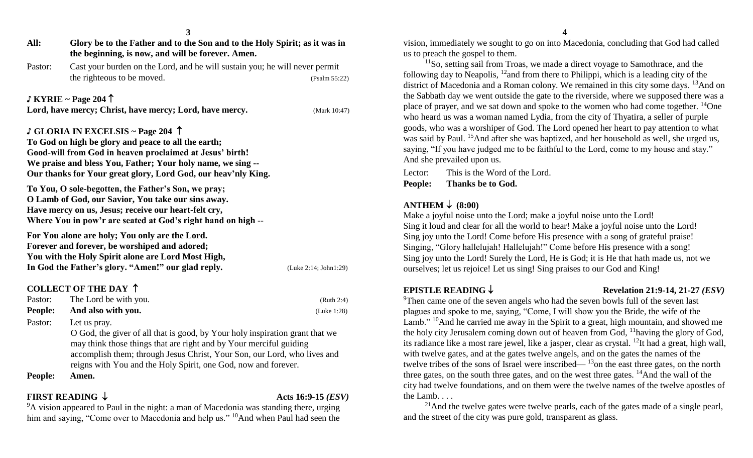| All:                                                                                                                                                                                                                                                                                                                                 | Glory be to the Father and to the Son and to the Holy Spirit; as it was in<br>the beginning, is now, and will be forever. Amen.                |                                                                | vision, immediately we sought to go on into Mace<br>us to preach the gospel to them.<br>$11$ So, setting sail from Troas, we made a dir                                                                                                                        |  |
|--------------------------------------------------------------------------------------------------------------------------------------------------------------------------------------------------------------------------------------------------------------------------------------------------------------------------------------|------------------------------------------------------------------------------------------------------------------------------------------------|----------------------------------------------------------------|----------------------------------------------------------------------------------------------------------------------------------------------------------------------------------------------------------------------------------------------------------------|--|
| Pastor:                                                                                                                                                                                                                                                                                                                              | Cast your burden on the Lord, and he will sustain you; he will never permit                                                                    |                                                                |                                                                                                                                                                                                                                                                |  |
|                                                                                                                                                                                                                                                                                                                                      | the righteous to be moved.                                                                                                                     | (Psalm 55:22)                                                  | following day to Neapolis, <sup>12</sup> and from there to Ph                                                                                                                                                                                                  |  |
| $\Gamma$ KYRIE ~ Page 204 $\uparrow$<br>Lord, have mercy; Christ, have mercy; Lord, have mercy.<br>(Mark 10:47)<br>$\int$ GLORIA IN EXCELSIS ~ Page 204 $\uparrow$                                                                                                                                                                   |                                                                                                                                                |                                                                | district of Macedonia and a Roman colony. We re<br>the Sabbath day we went outside the gate to the ri<br>place of prayer, and we sat down and spoke to the<br>who heard us was a woman named Lydia, from the<br>goods, who was a worshiper of God. The Lord op |  |
|                                                                                                                                                                                                                                                                                                                                      | To God on high be glory and peace to all the earth;                                                                                            | was said by Paul. <sup>15</sup> And after she was baptized, an |                                                                                                                                                                                                                                                                |  |
|                                                                                                                                                                                                                                                                                                                                      | Good-will from God in heaven proclaimed at Jesus' birth!                                                                                       |                                                                | saying, "If you have judged me to be faithful to the<br>And she prevailed upon us.                                                                                                                                                                             |  |
|                                                                                                                                                                                                                                                                                                                                      | We praise and bless You, Father; Your holy name, we sing --                                                                                    |                                                                |                                                                                                                                                                                                                                                                |  |
|                                                                                                                                                                                                                                                                                                                                      | Our thanks for Your great glory, Lord God, our heav'nly King.                                                                                  |                                                                | This is the Word of the Lord.<br>Lector:<br>Thanks be to God.<br>People:                                                                                                                                                                                       |  |
| To You, O sole-begotten, the Father's Son, we pray;<br>O Lamb of God, our Savior, You take our sins away.<br>Have mercy on us, Jesus; receive our heart-felt cry,<br>Where You in pow'r are seated at God's right hand on high --<br>For You alone are holy; You only are the Lord.<br>Forever and forever, be worshiped and adored; |                                                                                                                                                |                                                                | ANTHEM $\downarrow$ (8:00)<br>Make a joyful noise unto the Lord; make a joyful<br>Sing it loud and clear for all the world to hear! M<br>Sing joy unto the Lord! Come before His presence<br>Singing, "Glory hallelujah! Hallelujah!" Come be                  |  |
|                                                                                                                                                                                                                                                                                                                                      |                                                                                                                                                |                                                                |                                                                                                                                                                                                                                                                |  |
|                                                                                                                                                                                                                                                                                                                                      | COLLECT OF THE DAY $\uparrow$                                                                                                                  |                                                                | EPISTLE READING $\downarrow$                                                                                                                                                                                                                                   |  |
| Pastor:                                                                                                                                                                                                                                                                                                                              | The Lord be with you.                                                                                                                          | (Ruth 2:4)                                                     | <sup>9</sup> Then came one of the seven angels who had the                                                                                                                                                                                                     |  |
| People:                                                                                                                                                                                                                                                                                                                              | And also with you.                                                                                                                             | (Luke 1:28)                                                    | plagues and spoke to me, saying, "Come, I will sh                                                                                                                                                                                                              |  |
| Pastor:                                                                                                                                                                                                                                                                                                                              | Let us pray.                                                                                                                                   |                                                                | Lamb." <sup>10</sup> And he carried me away in the Spirit to                                                                                                                                                                                                   |  |
|                                                                                                                                                                                                                                                                                                                                      | O God, the giver of all that is good, by Your holy inspiration grant that we                                                                   |                                                                | the holy city Jerusalem coming down out of heave<br>its radiance like a most rare jewel, like a jasper, c                                                                                                                                                      |  |
|                                                                                                                                                                                                                                                                                                                                      | may think those things that are right and by Your merciful guiding<br>accomplish them; through Jesus Christ, Your Son, our Lord, who lives and |                                                                | with twelve gates, and at the gates twelve angels,                                                                                                                                                                                                             |  |
|                                                                                                                                                                                                                                                                                                                                      | reigns with You and the Holy Spirit, one God, now and forever.                                                                                 |                                                                | twelve tribes of the sons of Israel were inscribed-                                                                                                                                                                                                            |  |
| People:                                                                                                                                                                                                                                                                                                                              | Amen.                                                                                                                                          |                                                                | three gates, on the south three gates, and on the w                                                                                                                                                                                                            |  |

#### **FIRST READING**  $\downarrow$  **Acts 16:9-15** *(ESV)*

<sup>9</sup>A vision appeared to Paul in the night: a man of Macedonia was standing there, urging him and saying, "Come over to Macedonia and help us." <sup>10</sup>And when Paul had seen the

**3**

**4**

edonia, concluding that God had called

rect voyage to Samothrace, and the hilippi, which is a leading city of the emained in this city some days.  $\frac{13}{3}$ And on iverside, where we supposed there was a e women who had come together. <sup>14</sup>One he city of Thyatira, a seller of purple bened her heart to pay attention to what nd her household as well, she urged us, he Lord, come to my house and stay."

moise unto the Lord! Iake a joyful noise unto the Lord! shifter the Lord into the Sing of grateful praise! efore His presence with a song! od: it is He that hath made us, not we to our God and King!

**EPISTLE READING Revelation 21:9-14, 21-27** *(ESV)*

seven bowls full of the seven last how you the Bride, the wife of the a great, high mountain, and showed me the from God,  $\frac{11}{1}$ having the glory of God, clear as crystal.  $^{12}$ It had a great, high wall, and on the gates the names of the  $\frac{13}{2}$  on the east three gates, on the north vest three gates.  $^{14}$ And the wall of the city had twelve foundations, and on them were the twelve names of the twelve apostles of the Lamb. . . .

 $21$ And the twelve gates were twelve pearls, each of the gates made of a single pearl, and the street of the city was pure gold, transparent as glass.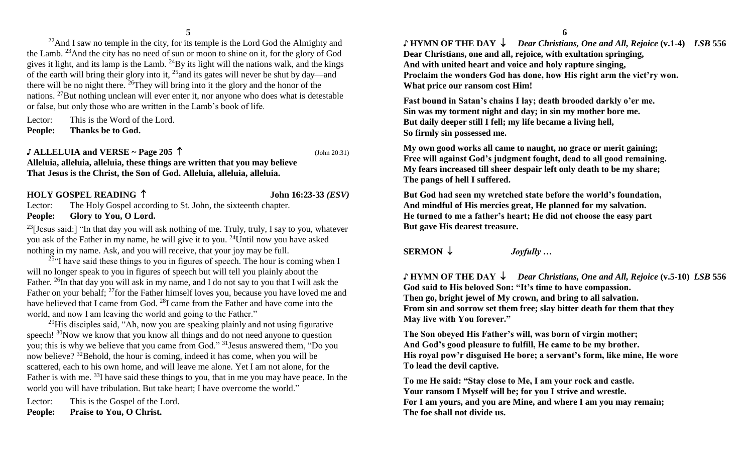$22$ And I saw no temple in the city, for its temple is the Lord God the Almighty and the Lamb. <sup>23</sup>And the city has no need of sun or moon to shine on it, for the glory of God gives it light, and its lamp is the Lamb.  $^{24}$ By its light will the nations walk, and the kings of the earth will bring their glory into it,  $^{25}$  and its gates will never be shut by day—and there will be no night there. <sup>26</sup>They will bring into it the glory and the honor of the nations. <sup>27</sup>But nothing unclean will ever enter it, nor anyone who does what is detestable or false, but only those who are written in the Lamb's book of life.

Lector: This is the Word of the Lord. **People: Thanks be to God.**

 $\int$  ALLELUIA and VERSE ~ Page 205  $\uparrow$  (John 20:31) **Alleluia, alleluia, alleluia, these things are written that you may believe That Jesus is the Christ, the Son of God. Alleluia, alleluia, alleluia.**

#### **HOLY GOSPEL READING John 16:23-33** *(ESV)*

Lector: The Holy Gospel according to St. John, the sixteenth chapter. **People: Glory to You, O Lord.**

<sup>23</sup>[Jesus said:] "In that day you will ask nothing of me. Truly, truly, I say to you, whatever you ask of the Father in my name, he will give it to you. <sup>24</sup>Until now you have asked nothing in my name. Ask, and you will receive, that your joy may be full.

<sup>25"</sup>I have said these things to you in figures of speech. The hour is coming when I will no longer speak to you in figures of speech but will tell you plainly about the Father. <sup>26</sup>In that day you will ask in my name, and I do not say to you that I will ask the Father on your behalf; <sup>27</sup>for the Father himself loves you, because you have loved me and have believed that I came from God. <sup>28</sup>I came from the Father and have come into the world, and now I am leaving the world and going to the Father."

 $29$ His disciples said, "Ah, now you are speaking plainly and not using figurative speech! <sup>30</sup>Now we know that you know all things and do not need anyone to question you; this is why we believe that you came from God." <sup>31</sup>Jesus answered them, "Do you now believe? <sup>32</sup>Behold, the hour is coming, indeed it has come, when you will be scattered, each to his own home, and will leave me alone. Yet I am not alone, for the Father is with me. <sup>33</sup>I have said these things to you, that in me you may have peace. In the world you will have tribulation. But take heart; I have overcome the world."

Lector: This is the Gospel of the Lord. **People: Praise to You, O Christ.**

**♪ HYMN OF THE DAY** *Dear Christians, One and All, Rejoice* **(v.1-4)** *LSB* **556 Dear Christians, one and all, rejoice, with exultation springing, And with united heart and voice and holy rapture singing, Proclaim the wonders God has done, how His right arm the vict'ry won. What price our ransom cost Him!**

**Fast bound in Satan's chains I lay; death brooded darkly o'er me. Sin was my torment night and day; in sin my mother bore me. But daily deeper still I fell; my life became a living hell, So firmly sin possessed me.**

**My own good works all came to naught, no grace or merit gaining; Free will against God's judgment fought, dead to all good remaining. My fears increased till sheer despair left only death to be my share; The pangs of hell I suffered.**

**But God had seen my wretched state before the world's foundation, And mindful of His mercies great, He planned for my salvation. He turned to me a father's heart; He did not choose the easy part But gave His dearest treasure.**

**SERMON** ↓ *Joyfully* …

**♪ HYMN OF THE DAY** *Dear Christians, One and All, Rejoice* **(v.5-10)** *LSB* **556 God said to His beloved Son: "It's time to have compassion. Then go, bright jewel of My crown, and bring to all salvation. From sin and sorrow set them free; slay bitter death for them that they May live with You forever."**

**The Son obeyed His Father's will, was born of virgin mother; And God's good pleasure to fulfill, He came to be my brother. His royal pow'r disguised He bore; a servant's form, like mine, He wore To lead the devil captive.**

**To me He said: "Stay close to Me, I am your rock and castle. Your ransom I Myself will be; for you I strive and wrestle. For I am yours, and you are Mine, and where I am you may remain; The foe shall not divide us.**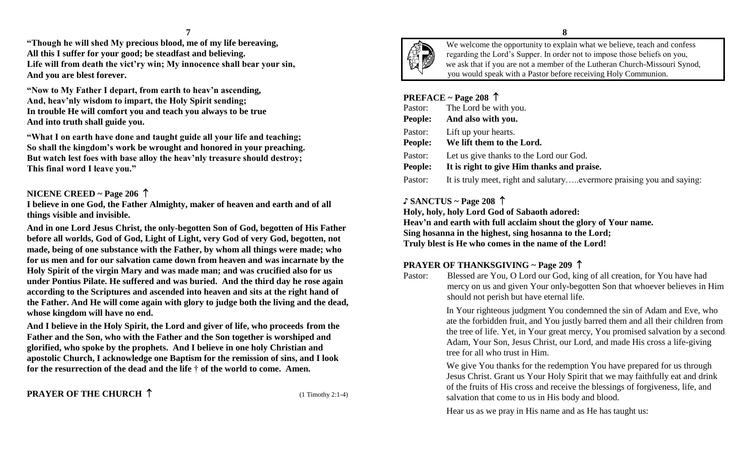**7**

**"Though he will shed My precious blood, me of my life bereaving, All this I suffer for your good; be steadfast and believing. Life will from death the vict'ry win; My innocence shall bear your sin, And you are blest forever.**

**"Now to My Father I depart, from earth to heav'n ascending, And, heav'nly wisdom to impart, the Holy Spirit sending; In trouble He will comfort you and teach you always to be true And into truth shall guide you.**

**"What I on earth have done and taught guide all your life and teaching; So shall the kingdom's work be wrought and honored in your preaching. But watch lest foes with base alloy the heav'nly treasure should destroy; This final word I leave you."**

#### **NICENE CREED ~ Page 206**

**I believe in one God, the Father Almighty, maker of heaven and earth and of all things visible and invisible.** 

**And in one Lord Jesus Christ, the only-begotten Son of God, begotten of His Father before all worlds, God of God, Light of Light, very God of very God, begotten, not made, being of one substance with the Father, by whom all things were made; who for us men and for our salvation came down from heaven and was incarnate by the Holy Spirit of the virgin Mary and was made man; and was crucified also for us under Pontius Pilate. He suffered and was buried. And the third day he rose again according to the Scriptures and ascended into heaven and sits at the right hand of the Father. And He will come again with glory to judge both the living and the dead, whose kingdom will have no end.** 

**And I believe in the Holy Spirit, the Lord and giver of life, who proceeds from the Father and the Son, who with the Father and the Son together is worshiped and glorified, who spoke by the prophets. And I believe in one holy Christian and apostolic Church, I acknowledge one Baptism for the remission of sins, and I look for the resurrection of the dead and the life** † **of the world to come. Amen.**

**PRAYER OF THE CHURCH**  $\uparrow$  (1 Timothy 2:1-4)



We welcome the opportunity to explain what we believe, teach and confess regarding the Lord's Supper. In order not to impose those beliefs on you, we ask that if you are not a member of the Lutheran Church-Missouri Synod, you would speak with a Pastor before receiving Holy Communion.

### **PREFACE ~ Page 208**

| Pastor:        | The Lord be with you.                                                   |
|----------------|-------------------------------------------------------------------------|
| <b>People:</b> | And also with you.                                                      |
| Pastor:        | Lift up your hearts.                                                    |
| <b>People:</b> | We lift them to the Lord.                                               |
| Pastor:        | Let us give thanks to the Lord our God.                                 |
| <b>People:</b> | It is right to give Him thanks and praise.                              |
| Pastor:        | It is truly meet, right and salutary ever more praising you and saying: |

#### **♪ SANCTUS ~ Page 208**

**Holy, holy, holy Lord God of Sabaoth adored: Heav'n and earth with full acclaim shout the glory of Your name. Sing hosanna in the highest, sing hosanna to the Lord; Truly blest is He who comes in the name of the Lord!**

#### **PRAYER OF THANKSGIVING ~ Page 209**

Pastor: Blessed are You, O Lord our God, king of all creation, for You have had mercy on us and given Your only-begotten Son that whoever believes in Him should not perish but have eternal life.

> In Your righteous judgment You condemned the sin of Adam and Eve, who ate the forbidden fruit, and You justly barred them and all their children from the tree of life. Yet, in Your great mercy, You promised salvation by a second Adam, Your Son, Jesus Christ, our Lord, and made His cross a life-giving tree for all who trust in Him.

We give You thanks for the redemption You have prepared for us through Jesus Christ. Grant us Your Holy Spirit that we may faithfully eat and drink of the fruits of His cross and receive the blessings of forgiveness, life, and salvation that come to us in His body and blood.

Hear us as we pray in His name and as He has taught us: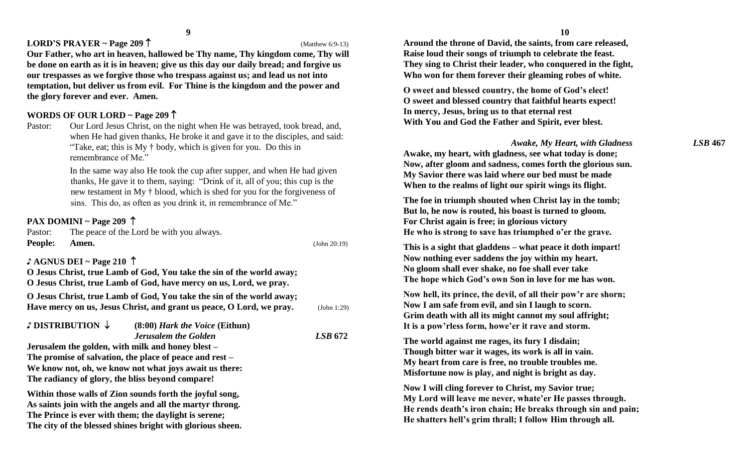#### **LORD'S PRAYER ~ Page 209 1** (Matthew 6:9-13)

**Our Father, who art in heaven, hallowed be Thy name, Thy kingdom come, Thy will be done on earth as it is in heaven; give us this day our daily bread; and forgive us our trespasses as we forgive those who trespass against us; and lead us not into temptation, but deliver us from evil. For Thine is the kingdom and the power and the glory forever and ever. Amen.**

#### **WORDS OF OUR LORD ~ Page 209**  $\uparrow$

Pastor: Our Lord Jesus Christ, on the night when He was betrayed, took bread, and, when He had given thanks, He broke it and gave it to the disciples, and said: "Take, eat; this is My † body, which is given for you. Do this in remembrance of Me."

> In the same way also He took the cup after supper, and when He had given thanks, He gave it to them, saying: "Drink of it, all of you; this cup is the new testament in My † blood, which is shed for you for the forgiveness of sins. This do, as often as you drink it, in remembrance of Me."

#### **PAX DOMINI ~ Page 209**

Pastor: The peace of the Lord be with you always. **People: Amen.** (John 20:19)

#### **♪ AGNUS DEI ~ Page 210**

**O Jesus Christ, true Lamb of God, You take the sin of the world away; O Jesus Christ, true Lamb of God, have mercy on us, Lord, we pray. O Jesus Christ, true Lamb of God, You take the sin of the world away; Have mercy on us, Jesus Christ, and grant us peace, O Lord, we pray.** (John 1:29)

#### $\downarrow$  **DISTRIBUTION**  $\downarrow$  (8:00) *Hark the Voice* (Eithun)

*Jerusalem the Golden LSB* **672**

**Jerusalem the golden, with milk and honey blest – The promise of salvation, the place of peace and rest – We know not, oh, we know not what joys await us there: The radiancy of glory, the bliss beyond compare!**

**Within those walls of Zion sounds forth the joyful song, As saints join with the angels and all the martyr throng. The Prince is ever with them; the daylight is serene; The city of the blessed shines bright with glorious sheen.** **Around the throne of David, the saints, from care released, Raise loud their songs of triumph to celebrate the feast. They sing to Christ their leader, who conquered in the fight, Who won for them forever their gleaming robes of white.**

**O sweet and blessed country, the home of God's elect! O sweet and blessed country that faithful hearts expect! In mercy, Jesus, bring us to that eternal rest With You and God the Father and Spirit, ever blest.**

#### *Awake, My Heart, with Gladness LSB* **467**

**Awake, my heart, with gladness, see what today is done; Now, after gloom and sadness, comes forth the glorious sun. My Savior there was laid where our bed must be made When to the realms of light our spirit wings its flight.**

**The foe in triumph shouted when Christ lay in the tomb; But lo, he now is routed, his boast is turned to gloom. For Christ again is free; in glorious victory He who is strong to save has triumphed o'er the grave.**

**This is a sight that gladdens – what peace it doth impart! Now nothing ever saddens the joy within my heart. No gloom shall ever shake, no foe shall ever take The hope which God's own Son in love for me has won.**

**Now hell, its prince, the devil, of all their pow'r are shorn; Now I am safe from evil, and sin I laugh to scorn. Grim death with all its might cannot my soul affright; It is a pow'rless form, howe'er it rave and storm.**

**The world against me rages, its fury I disdain; Though bitter war it wages, its work is all in vain. My heart from care is free, no trouble troubles me. Misfortune now is play, and night is bright as day.**

**Now I will cling forever to Christ, my Savior true; My Lord will leave me never, whate'er He passes through. He rends death's iron chain; He breaks through sin and pain; He shatters hell's grim thrall; I follow Him through all.**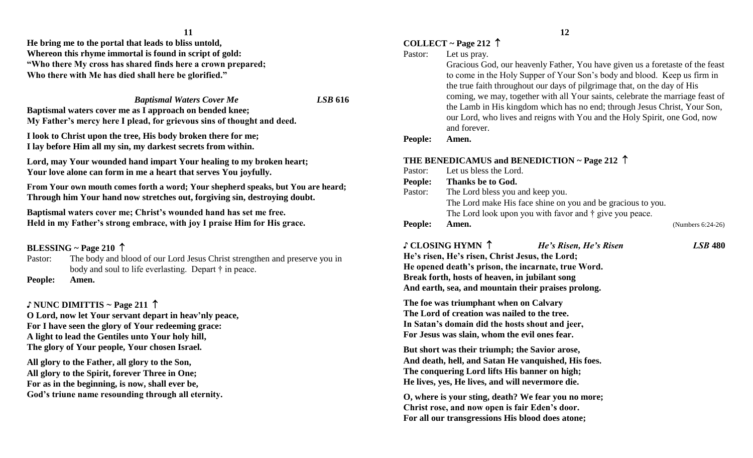**11**

**He bring me to the portal that leads to bliss untold, Whereon this rhyme immortal is found in script of gold: "Who there My cross has shared finds here a crown prepared; Who there with Me has died shall here be glorified."**

*Baptismal Waters Cover Me LSB* **616 Baptismal waters cover me as I approach on bended knee; My Father's mercy here I plead, for grievous sins of thought and deed.**

**I look to Christ upon the tree, His body broken there for me; I lay before Him all my sin, my darkest secrets from within.**

**Lord, may Your wounded hand impart Your healing to my broken heart; Your love alone can form in me a heart that serves You joyfully.**

**From Your own mouth comes forth a word; Your shepherd speaks, but You are heard; Through him Your hand now stretches out, forgiving sin, destroying doubt.**

**Baptismal waters cover me; Christ's wounded hand has set me free. Held in my Father's strong embrace, with joy I praise Him for His grace.**

#### **BLESSING ~ Page 210**

Pastor: The body and blood of our Lord Jesus Christ strengthen and preserve you in body and soul to life everlasting. Depart † in peace.

**People: Amen.**

**♪ NUNC DIMITTIS ~ Page 211** 

**O Lord, now let Your servant depart in heav'nly peace, For I have seen the glory of Your redeeming grace: A light to lead the Gentiles unto Your holy hill, The glory of Your people, Your chosen Israel.**

**All glory to the Father, all glory to the Son, All glory to the Spirit, forever Three in One; For as in the beginning, is now, shall ever be, God's triune name resounding through all eternity.**

#### **COLLECT ~ Page 212**

Gracious God, our heavenly Father, You have given us a foretaste of the feast to come in the Holy Supper of Your Son's body and blood. Keep us firm in the true faith throughout our days of pilgrimage that, on the day of His coming, we may, together with all Your saints, celebrate the marriage feast of the Lamb in His kingdom which has no end; through Jesus Christ, Your Son, our Lord, who lives and reigns with You and the Holy Spirit, one God, now and forever.

**People: Amen.**

#### **THE BENEDICAMUS and BENEDICTION ~ Page 212**

Pastor: Let us bless the Lord. **People: Thanks be to God.** Pastor: The Lord bless you and keep you. The Lord make His face shine on you and be gracious to you. The Lord look upon you with favor and † give you peace. **People: Amen. CONSIDERENT CONSIDERED Amen. CONSIDERED Amen. CONSIDERED Amen. CONSIDERED Amen. CONSIDERED Amen. CONSIDERED Amen. CONSIDERED Amen. CONSIDERED Amen. CONSIDERED Amen. CONSIDERED Amen. C** 

**♪ CLOSING HYMN** *He's Risen, He's Risen LSB* **480 He's risen, He's risen, Christ Jesus, the Lord; He opened death's prison, the incarnate, true Word. Break forth, hosts of heaven, in jubilant song And earth, sea, and mountain their praises prolong.**

**The foe was triumphant when on Calvary The Lord of creation was nailed to the tree. In Satan's domain did the hosts shout and jeer, For Jesus was slain, whom the evil ones fear.**

**But short was their triumph; the Savior arose, And death, hell, and Satan He vanquished, His foes. The conquering Lord lifts His banner on high; He lives, yes, He lives, and will nevermore die.**

**O, where is your sting, death? We fear you no more; Christ rose, and now open is fair Eden's door. For all our transgressions His blood does atone;**

**12**